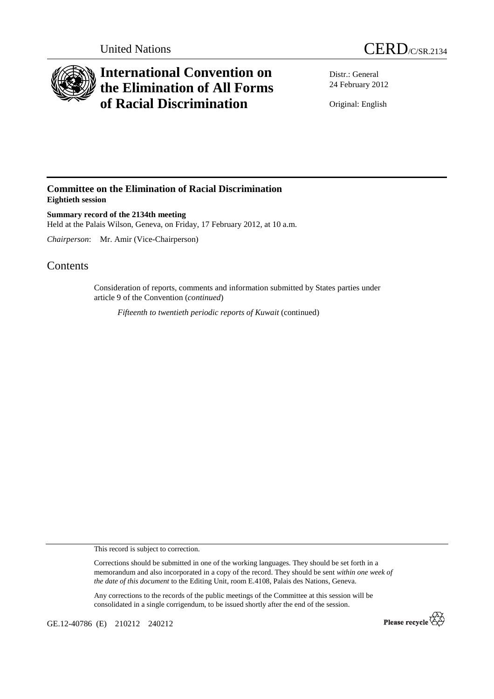



## **International Convention on the Elimination of All Forms of Racial Discrimination**

Distr.: General 24 February 2012

Original: English

## **Committee on the Elimination of Racial Discrimination Eightieth session**

**Summary record of the 2134th meeting**  Held at the Palais Wilson, Geneva, on Friday, 17 February 2012, at 10 a.m.

*Chairperson*: Mr. Amir (Vice-Chairperson)

## **Contents**

Consideration of reports, comments and information submitted by States parties under article 9 of the Convention (*continued*)

*Fifteenth to twentieth periodic reports of Kuwait* (continued)

This record is subject to correction.

Corrections should be submitted in one of the working languages. They should be set forth in a memorandum and also incorporated in a copy of the record. They should be sent *within one week of the date of this document* to the Editing Unit, room E.4108, Palais des Nations, Geneva.

Any corrections to the records of the public meetings of the Committee at this session will be consolidated in a single corrigendum, to be issued shortly after the end of the session.

GE.12-40786 (E) 210212 240212

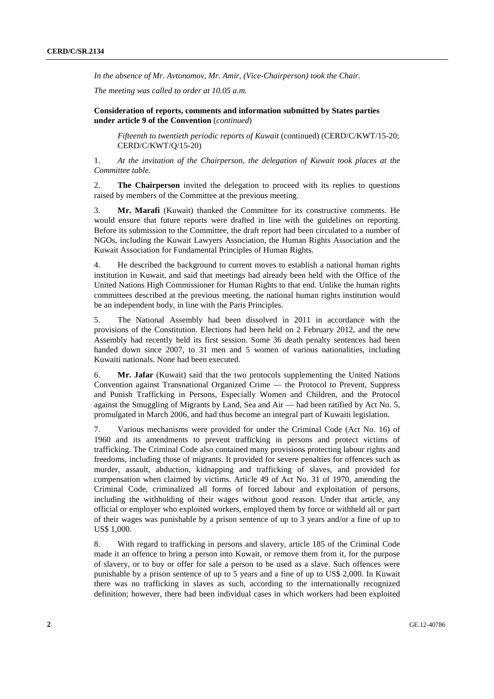*In the absence of Mr. Avtonomov, Mr. Amir, (Vice-Chairperson) took the Chair.* 

*The meeting was called to order at 10.05 a.m.* 

 **Consideration of reports, comments and information submitted by States parties under article 9 of the Convention** (*continued*)

*Fifteenth to twentieth periodic reports of Kuwait* (continued) (CERD/C/KWT/15-20; CERD/C/KWT/Q/15-20)

1. *At the invitation of the Chairperson, the delegation of Kuwait took places at the Committee table.* 

2. **The Chairperson** invited the delegation to proceed with its replies to questions raised by members of the Committee at the previous meeting.

3. **Mr. Marafi** (Kuwait) thanked the Committee for its constructive comments. He would ensure that future reports were drafted in line with the guidelines on reporting. Before its submission to the Committee, the draft report had been circulated to a number of NGOs, including the Kuwait Lawyers Association, the Human Rights Association and the Kuwait Association for Fundamental Principles of Human Rights.

4. He described the background to current moves to establish a national human rights institution in Kuwait, and said that meetings had already been held with the Office of the United Nations High Commissioner for Human Rights to that end. Unlike the human rights committees described at the previous meeting, the national human rights institution would be an independent body, in line with the Paris Principles.

5. The National Assembly had been dissolved in 2011 in accordance with the provisions of the Constitution. Elections had been held on 2 February 2012, and the new Assembly had recently held its first session. Some 36 death penalty sentences had been handed down since 2007, to 31 men and 5 women of various nationalities, including Kuwaiti nationals. None had been executed.

6. **Mr. Jafar** (Kuwait) said that the two protocols supplementing the United Nations Convention against Transnational Organized Crime — the Protocol to Prevent, Suppress and Punish Trafficking in Persons, Especially Women and Children, and the Protocol against the Smuggling of Migrants by Land, Sea and Air — had been ratified by Act No. 5, promulgated in March 2006, and had thus become an integral part of Kuwaiti legislation.

7. Various mechanisms were provided for under the Criminal Code (Act No. 16) of 1960 and its amendments to prevent trafficking in persons and protect victims of trafficking. The Criminal Code also contained many provisions protecting labour rights and freedoms, including those of migrants. It provided for severe penalties for offences such as murder, assault, abduction, kidnapping and trafficking of slaves, and provided for compensation when claimed by victims. Article 49 of Act No. 31 of 1970, amending the Criminal Code, criminalized all forms of forced labour and exploitation of persons, including the withholding of their wages without good reason. Under that article, any official or employer who exploited workers, employed them by force or withheld all or part of their wages was punishable by a prison sentence of up to 3 years and/or a fine of up to US\$ 1,000.

8. With regard to trafficking in persons and slavery, article 185 of the Criminal Code made it an offence to bring a person into Kuwait, or remove them from it, for the purpose of slavery, or to buy or offer for sale a person to be used as a slave. Such offences were punishable by a prison sentence of up to 5 years and a fine of up to US\$ 2,000. In Kuwait there was no trafficking in slaves as such, according to the internationally recognized definition; however, there had been individual cases in which workers had been exploited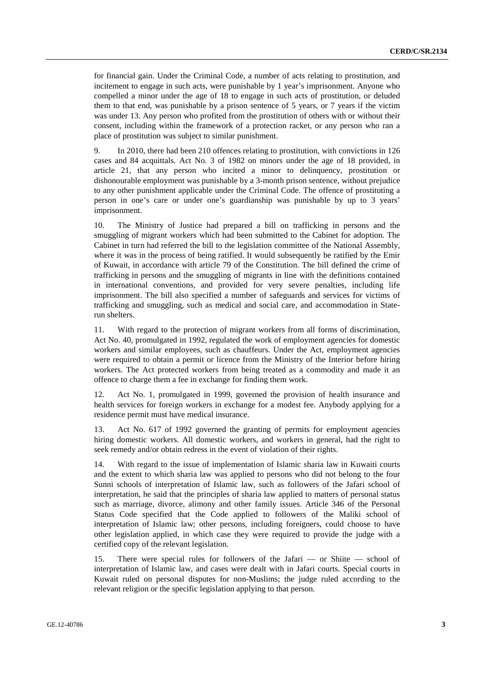for financial gain. Under the Criminal Code, a number of acts relating to prostitution, and incitement to engage in such acts, were punishable by 1 year's imprisonment. Anyone who compelled a minor under the age of 18 to engage in such acts of prostitution, or deluded them to that end, was punishable by a prison sentence of 5 years, or 7 years if the victim was under 13. Any person who profited from the prostitution of others with or without their consent, including within the framework of a protection racket, or any person who ran a place of prostitution was subject to similar punishment.

9. In 2010, there had been 210 offences relating to prostitution, with convictions in 126 cases and 84 acquittals. Act No. 3 of 1982 on minors under the age of 18 provided, in article 21, that any person who incited a minor to delinquency, prostitution or dishonourable employment was punishable by a 3-month prison sentence, without prejudice to any other punishment applicable under the Criminal Code. The offence of prostituting a person in one's care or under one's guardianship was punishable by up to 3 years' imprisonment.

10. The Ministry of Justice had prepared a bill on trafficking in persons and the smuggling of migrant workers which had been submitted to the Cabinet for adoption. The Cabinet in turn had referred the bill to the legislation committee of the National Assembly, where it was in the process of being ratified. It would subsequently be ratified by the Emir of Kuwait, in accordance with article 79 of the Constitution. The bill defined the crime of trafficking in persons and the smuggling of migrants in line with the definitions contained in international conventions, and provided for very severe penalties, including life imprisonment. The bill also specified a number of safeguards and services for victims of trafficking and smuggling, such as medical and social care, and accommodation in Staterun shelters.

11. With regard to the protection of migrant workers from all forms of discrimination, Act No. 40, promulgated in 1992, regulated the work of employment agencies for domestic workers and similar employees, such as chauffeurs. Under the Act, employment agencies were required to obtain a permit or licence from the Ministry of the Interior before hiring workers. The Act protected workers from being treated as a commodity and made it an offence to charge them a fee in exchange for finding them work.

12. Act No. 1, promulgated in 1999, governed the provision of health insurance and health services for foreign workers in exchange for a modest fee. Anybody applying for a residence permit must have medical insurance.

13. Act No. 617 of 1992 governed the granting of permits for employment agencies hiring domestic workers. All domestic workers, and workers in general, had the right to seek remedy and/or obtain redress in the event of violation of their rights.

14. With regard to the issue of implementation of Islamic sharia law in Kuwaiti courts and the extent to which sharia law was applied to persons who did not belong to the four Sunni schools of interpretation of Islamic law, such as followers of the Jafari school of interpretation, he said that the principles of sharia law applied to matters of personal status such as marriage, divorce, alimony and other family issues. Article 346 of the Personal Status Code specified that the Code applied to followers of the Maliki school of interpretation of Islamic law; other persons, including foreigners, could choose to have other legislation applied, in which case they were required to provide the judge with a certified copy of the relevant legislation.

15. There were special rules for followers of the Jafari — or Shiite — school of interpretation of Islamic law, and cases were dealt with in Jafari courts. Special courts in Kuwait ruled on personal disputes for non-Muslims; the judge ruled according to the relevant religion or the specific legislation applying to that person.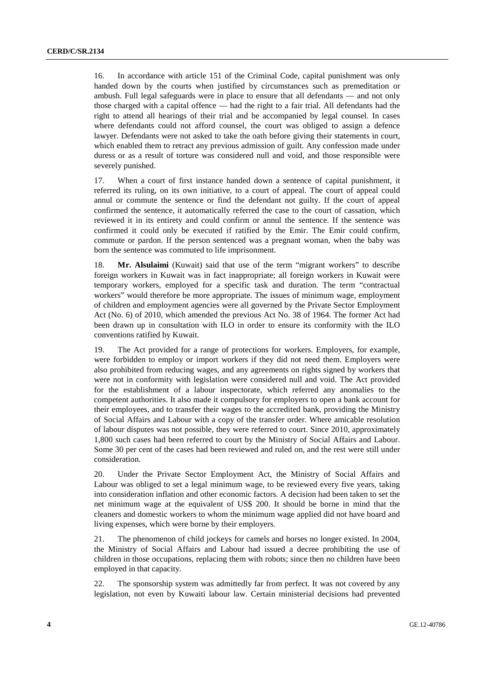16. In accordance with article 151 of the Criminal Code, capital punishment was only handed down by the courts when justified by circumstances such as premeditation or ambush. Full legal safeguards were in place to ensure that all defendants — and not only those charged with a capital offence — had the right to a fair trial. All defendants had the right to attend all hearings of their trial and be accompanied by legal counsel. In cases where defendants could not afford counsel, the court was obliged to assign a defence lawyer. Defendants were not asked to take the oath before giving their statements in court, which enabled them to retract any previous admission of guilt. Any confession made under duress or as a result of torture was considered null and void, and those responsible were severely punished.

17. When a court of first instance handed down a sentence of capital punishment, it referred its ruling, on its own initiative, to a court of appeal. The court of appeal could annul or commute the sentence or find the defendant not guilty. If the court of appeal confirmed the sentence, it automatically referred the case to the court of cassation, which reviewed it in its entirety and could confirm or annul the sentence. If the sentence was confirmed it could only be executed if ratified by the Emir. The Emir could confirm, commute or pardon. If the person sentenced was a pregnant woman, when the baby was born the sentence was commuted to life imprisonment.

18. **Mr. Alsulaimi** (Kuwait) said that use of the term "migrant workers" to describe foreign workers in Kuwait was in fact inappropriate; all foreign workers in Kuwait were temporary workers, employed for a specific task and duration. The term "contractual workers" would therefore be more appropriate. The issues of minimum wage, employment of children and employment agencies were all governed by the Private Sector Employment Act (No. 6) of 2010, which amended the previous Act No. 38 of 1964. The former Act had been drawn up in consultation with ILO in order to ensure its conformity with the ILO conventions ratified by Kuwait.

19. The Act provided for a range of protections for workers. Employers, for example, were forbidden to employ or import workers if they did not need them. Employers were also prohibited from reducing wages, and any agreements on rights signed by workers that were not in conformity with legislation were considered null and void. The Act provided for the establishment of a labour inspectorate, which referred any anomalies to the competent authorities. It also made it compulsory for employers to open a bank account for their employees, and to transfer their wages to the accredited bank, providing the Ministry of Social Affairs and Labour with a copy of the transfer order. Where amicable resolution of labour disputes was not possible, they were referred to court. Since 2010, approximately 1,800 such cases had been referred to court by the Ministry of Social Affairs and Labour. Some 30 per cent of the cases had been reviewed and ruled on, and the rest were still under consideration.

20. Under the Private Sector Employment Act, the Ministry of Social Affairs and Labour was obliged to set a legal minimum wage, to be reviewed every five years, taking into consideration inflation and other economic factors. A decision had been taken to set the net minimum wage at the equivalent of US\$ 200. It should be borne in mind that the cleaners and domestic workers to whom the minimum wage applied did not have board and living expenses, which were borne by their employers.

21. The phenomenon of child jockeys for camels and horses no longer existed. In 2004, the Ministry of Social Affairs and Labour had issued a decree prohibiting the use of children in those occupations, replacing them with robots; since then no children have been employed in that capacity.

22. The sponsorship system was admittedly far from perfect. It was not covered by any legislation, not even by Kuwaiti labour law. Certain ministerial decisions had prevented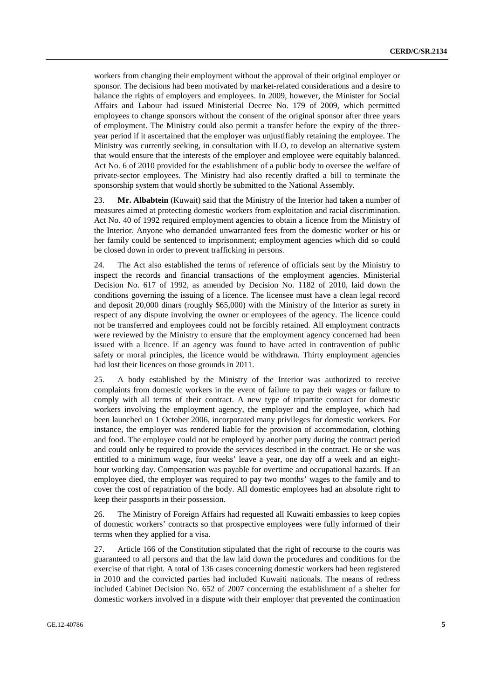workers from changing their employment without the approval of their original employer or sponsor. The decisions had been motivated by market-related considerations and a desire to balance the rights of employers and employees. In 2009, however, the Minister for Social Affairs and Labour had issued Ministerial Decree No. 179 of 2009, which permitted employees to change sponsors without the consent of the original sponsor after three years of employment. The Ministry could also permit a transfer before the expiry of the threeyear period if it ascertained that the employer was unjustifiably retaining the employee. The Ministry was currently seeking, in consultation with ILO, to develop an alternative system that would ensure that the interests of the employer and employee were equitably balanced. Act No. 6 of 2010 provided for the establishment of a public body to oversee the welfare of private-sector employees. The Ministry had also recently drafted a bill to terminate the sponsorship system that would shortly be submitted to the National Assembly.

23. **Mr. Albabtein** (Kuwait) said that the Ministry of the Interior had taken a number of measures aimed at protecting domestic workers from exploitation and racial discrimination. Act No. 40 of 1992 required employment agencies to obtain a licence from the Ministry of the Interior. Anyone who demanded unwarranted fees from the domestic worker or his or her family could be sentenced to imprisonment; employment agencies which did so could be closed down in order to prevent trafficking in persons.

24. The Act also established the terms of reference of officials sent by the Ministry to inspect the records and financial transactions of the employment agencies. Ministerial Decision No. 617 of 1992, as amended by Decision No. 1182 of 2010, laid down the conditions governing the issuing of a licence. The licensee must have a clean legal record and deposit 20,000 dinars (roughly \$65,000) with the Ministry of the Interior as surety in respect of any dispute involving the owner or employees of the agency. The licence could not be transferred and employees could not be forcibly retained. All employment contracts were reviewed by the Ministry to ensure that the employment agency concerned had been issued with a licence. If an agency was found to have acted in contravention of public safety or moral principles, the licence would be withdrawn. Thirty employment agencies had lost their licences on those grounds in 2011.

25. A body established by the Ministry of the Interior was authorized to receive complaints from domestic workers in the event of failure to pay their wages or failure to comply with all terms of their contract. A new type of tripartite contract for domestic workers involving the employment agency, the employer and the employee, which had been launched on 1 October 2006, incorporated many privileges for domestic workers. For instance, the employer was rendered liable for the provision of accommodation, clothing and food. The employee could not be employed by another party during the contract period and could only be required to provide the services described in the contract. He or she was entitled to a minimum wage, four weeks' leave a year, one day off a week and an eighthour working day. Compensation was payable for overtime and occupational hazards. If an employee died, the employer was required to pay two months' wages to the family and to cover the cost of repatriation of the body. All domestic employees had an absolute right to keep their passports in their possession.

26. The Ministry of Foreign Affairs had requested all Kuwaiti embassies to keep copies of domestic workers' contracts so that prospective employees were fully informed of their terms when they applied for a visa.

27. Article 166 of the Constitution stipulated that the right of recourse to the courts was guaranteed to all persons and that the law laid down the procedures and conditions for the exercise of that right. A total of 136 cases concerning domestic workers had been registered in 2010 and the convicted parties had included Kuwaiti nationals. The means of redress included Cabinet Decision No. 652 of 2007 concerning the establishment of a shelter for domestic workers involved in a dispute with their employer that prevented the continuation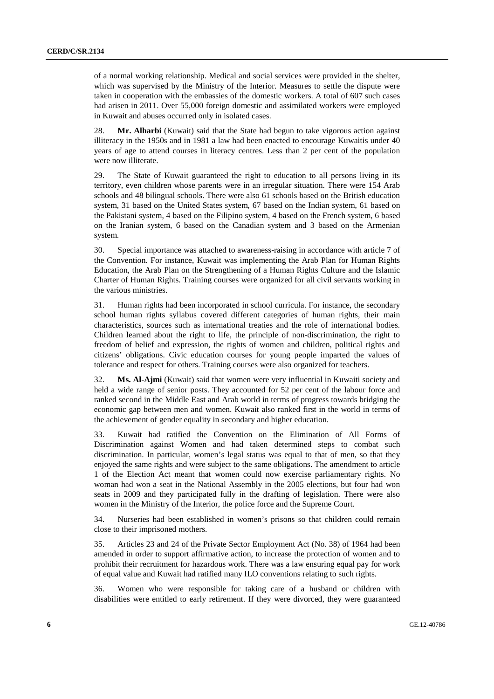of a normal working relationship. Medical and social services were provided in the shelter, which was supervised by the Ministry of the Interior. Measures to settle the dispute were taken in cooperation with the embassies of the domestic workers. A total of 607 such cases had arisen in 2011. Over 55,000 foreign domestic and assimilated workers were employed in Kuwait and abuses occurred only in isolated cases.

28. **Mr. Alharbi** (Kuwait) said that the State had begun to take vigorous action against illiteracy in the 1950s and in 1981 a law had been enacted to encourage Kuwaitis under 40 years of age to attend courses in literacy centres. Less than 2 per cent of the population were now illiterate.

29. The State of Kuwait guaranteed the right to education to all persons living in its territory, even children whose parents were in an irregular situation. There were 154 Arab schools and 48 bilingual schools. There were also 61 schools based on the British education system, 31 based on the United States system, 67 based on the Indian system, 61 based on the Pakistani system, 4 based on the Filipino system, 4 based on the French system, 6 based on the Iranian system, 6 based on the Canadian system and 3 based on the Armenian system.

30. Special importance was attached to awareness-raising in accordance with article 7 of the Convention. For instance, Kuwait was implementing the Arab Plan for Human Rights Education, the Arab Plan on the Strengthening of a Human Rights Culture and the Islamic Charter of Human Rights. Training courses were organized for all civil servants working in the various ministries.

31. Human rights had been incorporated in school curricula. For instance, the secondary school human rights syllabus covered different categories of human rights, their main characteristics, sources such as international treaties and the role of international bodies. Children learned about the right to life, the principle of non-discrimination, the right to freedom of belief and expression, the rights of women and children, political rights and citizens' obligations. Civic education courses for young people imparted the values of tolerance and respect for others. Training courses were also organized for teachers.

32. **Ms. Al-Ajmi** (Kuwait) said that women were very influential in Kuwaiti society and held a wide range of senior posts. They accounted for 52 per cent of the labour force and ranked second in the Middle East and Arab world in terms of progress towards bridging the economic gap between men and women. Kuwait also ranked first in the world in terms of the achievement of gender equality in secondary and higher education.

33. Kuwait had ratified the Convention on the Elimination of All Forms of Discrimination against Women and had taken determined steps to combat such discrimination. In particular, women's legal status was equal to that of men, so that they enjoyed the same rights and were subject to the same obligations. The amendment to article 1 of the Election Act meant that women could now exercise parliamentary rights. No woman had won a seat in the National Assembly in the 2005 elections, but four had won seats in 2009 and they participated fully in the drafting of legislation. There were also women in the Ministry of the Interior, the police force and the Supreme Court.

34. Nurseries had been established in women's prisons so that children could remain close to their imprisoned mothers.

35. Articles 23 and 24 of the Private Sector Employment Act (No. 38) of 1964 had been amended in order to support affirmative action, to increase the protection of women and to prohibit their recruitment for hazardous work. There was a law ensuring equal pay for work of equal value and Kuwait had ratified many ILO conventions relating to such rights.

36. Women who were responsible for taking care of a husband or children with disabilities were entitled to early retirement. If they were divorced, they were guaranteed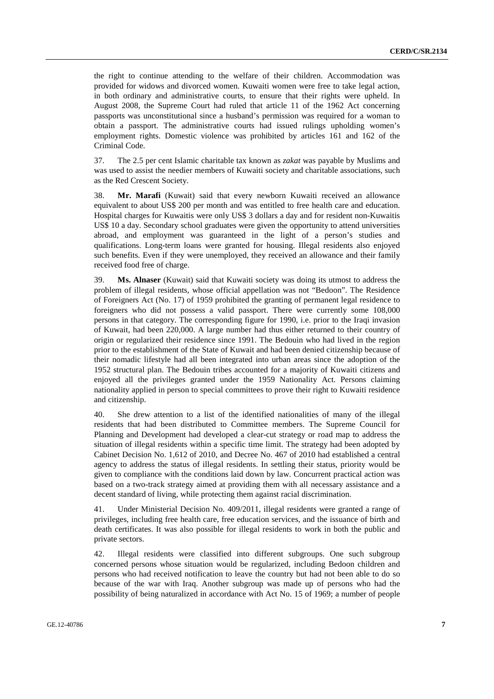the right to continue attending to the welfare of their children. Accommodation was provided for widows and divorced women. Kuwaiti women were free to take legal action, in both ordinary and administrative courts, to ensure that their rights were upheld. In August 2008, the Supreme Court had ruled that article 11 of the 1962 Act concerning passports was unconstitutional since a husband's permission was required for a woman to obtain a passport. The administrative courts had issued rulings upholding women's employment rights. Domestic violence was prohibited by articles 161 and 162 of the Criminal Code.

37. The 2.5 per cent Islamic charitable tax known as *zakat* was payable by Muslims and was used to assist the needier members of Kuwaiti society and charitable associations, such as the Red Crescent Society.

38. **Mr. Marafi** (Kuwait) said that every newborn Kuwaiti received an allowance equivalent to about US\$ 200 per month and was entitled to free health care and education. Hospital charges for Kuwaitis were only US\$ 3 dollars a day and for resident non-Kuwaitis US\$ 10 a day. Secondary school graduates were given the opportunity to attend universities abroad, and employment was guaranteed in the light of a person's studies and qualifications. Long-term loans were granted for housing. Illegal residents also enjoyed such benefits. Even if they were unemployed, they received an allowance and their family received food free of charge.

39. **Ms. Alnaser** (Kuwait) said that Kuwaiti society was doing its utmost to address the problem of illegal residents, whose official appellation was not "Bedoon". The Residence of Foreigners Act (No. 17) of 1959 prohibited the granting of permanent legal residence to foreigners who did not possess a valid passport. There were currently some 108,000 persons in that category. The corresponding figure for 1990, i.e. prior to the Iraqi invasion of Kuwait, had been 220,000. A large number had thus either returned to their country of origin or regularized their residence since 1991. The Bedouin who had lived in the region prior to the establishment of the State of Kuwait and had been denied citizenship because of their nomadic lifestyle had all been integrated into urban areas since the adoption of the 1952 structural plan. The Bedouin tribes accounted for a majority of Kuwaiti citizens and enjoyed all the privileges granted under the 1959 Nationality Act. Persons claiming nationality applied in person to special committees to prove their right to Kuwaiti residence and citizenship.

40. She drew attention to a list of the identified nationalities of many of the illegal residents that had been distributed to Committee members. The Supreme Council for Planning and Development had developed a clear-cut strategy or road map to address the situation of illegal residents within a specific time limit. The strategy had been adopted by Cabinet Decision No. 1,612 of 2010, and Decree No. 467 of 2010 had established a central agency to address the status of illegal residents. In settling their status, priority would be given to compliance with the conditions laid down by law. Concurrent practical action was based on a two-track strategy aimed at providing them with all necessary assistance and a decent standard of living, while protecting them against racial discrimination.

41. Under Ministerial Decision No. 409/2011, illegal residents were granted a range of privileges, including free health care, free education services, and the issuance of birth and death certificates. It was also possible for illegal residents to work in both the public and private sectors.

42. Illegal residents were classified into different subgroups. One such subgroup concerned persons whose situation would be regularized, including Bedoon children and persons who had received notification to leave the country but had not been able to do so because of the war with Iraq. Another subgroup was made up of persons who had the possibility of being naturalized in accordance with Act No. 15 of 1969; a number of people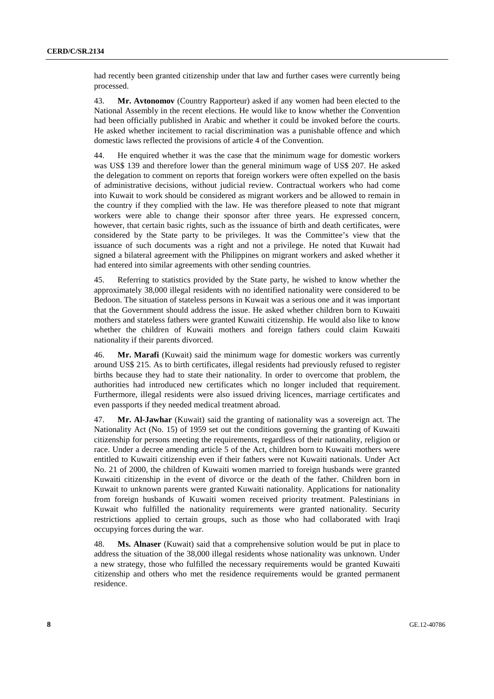had recently been granted citizenship under that law and further cases were currently being processed.

43. **Mr. Avtonomov** (Country Rapporteur) asked if any women had been elected to the National Assembly in the recent elections. He would like to know whether the Convention had been officially published in Arabic and whether it could be invoked before the courts. He asked whether incitement to racial discrimination was a punishable offence and which domestic laws reflected the provisions of article 4 of the Convention.

44. He enquired whether it was the case that the minimum wage for domestic workers was US\$ 139 and therefore lower than the general minimum wage of US\$ 207. He asked the delegation to comment on reports that foreign workers were often expelled on the basis of administrative decisions, without judicial review. Contractual workers who had come into Kuwait to work should be considered as migrant workers and be allowed to remain in the country if they complied with the law. He was therefore pleased to note that migrant workers were able to change their sponsor after three years. He expressed concern, however, that certain basic rights, such as the issuance of birth and death certificates, were considered by the State party to be privileges. It was the Committee's view that the issuance of such documents was a right and not a privilege. He noted that Kuwait had signed a bilateral agreement with the Philippines on migrant workers and asked whether it had entered into similar agreements with other sending countries.

45. Referring to statistics provided by the State party, he wished to know whether the approximately 38,000 illegal residents with no identified nationality were considered to be Bedoon. The situation of stateless persons in Kuwait was a serious one and it was important that the Government should address the issue. He asked whether children born to Kuwaiti mothers and stateless fathers were granted Kuwaiti citizenship. He would also like to know whether the children of Kuwaiti mothers and foreign fathers could claim Kuwaiti nationality if their parents divorced.

46. **Mr. Marafi** (Kuwait) said the minimum wage for domestic workers was currently around US\$ 215. As to birth certificates, illegal residents had previously refused to register births because they had to state their nationality. In order to overcome that problem, the authorities had introduced new certificates which no longer included that requirement. Furthermore, illegal residents were also issued driving licences, marriage certificates and even passports if they needed medical treatment abroad.

47. **Mr. Al-Jawhar** (Kuwait) said the granting of nationality was a sovereign act. The Nationality Act (No. 15) of 1959 set out the conditions governing the granting of Kuwaiti citizenship for persons meeting the requirements, regardless of their nationality, religion or race. Under a decree amending article 5 of the Act, children born to Kuwaiti mothers were entitled to Kuwaiti citizenship even if their fathers were not Kuwaiti nationals. Under Act No. 21 of 2000, the children of Kuwaiti women married to foreign husbands were granted Kuwaiti citizenship in the event of divorce or the death of the father. Children born in Kuwait to unknown parents were granted Kuwaiti nationality. Applications for nationality from foreign husbands of Kuwaiti women received priority treatment. Palestinians in Kuwait who fulfilled the nationality requirements were granted nationality. Security restrictions applied to certain groups, such as those who had collaborated with Iraqi occupying forces during the war.

48. **Ms. Alnaser** (Kuwait) said that a comprehensive solution would be put in place to address the situation of the 38,000 illegal residents whose nationality was unknown. Under a new strategy, those who fulfilled the necessary requirements would be granted Kuwaiti citizenship and others who met the residence requirements would be granted permanent residence.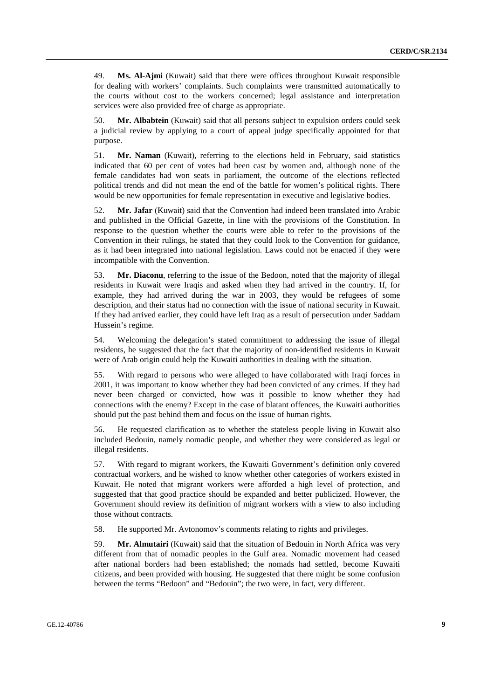49. **Ms. Al-Ajmi** (Kuwait) said that there were offices throughout Kuwait responsible for dealing with workers' complaints. Such complaints were transmitted automatically to the courts without cost to the workers concerned; legal assistance and interpretation services were also provided free of charge as appropriate.

50. **Mr. Albabtein** (Kuwait) said that all persons subject to expulsion orders could seek a judicial review by applying to a court of appeal judge specifically appointed for that purpose.

51. **Mr. Naman** (Kuwait), referring to the elections held in February, said statistics indicated that 60 per cent of votes had been cast by women and, although none of the female candidates had won seats in parliament, the outcome of the elections reflected political trends and did not mean the end of the battle for women's political rights. There would be new opportunities for female representation in executive and legislative bodies.

52. **Mr. Jafar** (Kuwait) said that the Convention had indeed been translated into Arabic and published in the Official Gazette, in line with the provisions of the Constitution. In response to the question whether the courts were able to refer to the provisions of the Convention in their rulings, he stated that they could look to the Convention for guidance, as it had been integrated into national legislation. Laws could not be enacted if they were incompatible with the Convention.

53. **Mr. Diaconu**, referring to the issue of the Bedoon, noted that the majority of illegal residents in Kuwait were Iraqis and asked when they had arrived in the country. If, for example, they had arrived during the war in 2003, they would be refugees of some description, and their status had no connection with the issue of national security in Kuwait. If they had arrived earlier, they could have left Iraq as a result of persecution under Saddam Hussein's regime.

54. Welcoming the delegation's stated commitment to addressing the issue of illegal residents, he suggested that the fact that the majority of non-identified residents in Kuwait were of Arab origin could help the Kuwaiti authorities in dealing with the situation.

55. With regard to persons who were alleged to have collaborated with Iraqi forces in 2001, it was important to know whether they had been convicted of any crimes. If they had never been charged or convicted, how was it possible to know whether they had connections with the enemy? Except in the case of blatant offences, the Kuwaiti authorities should put the past behind them and focus on the issue of human rights.

56. He requested clarification as to whether the stateless people living in Kuwait also included Bedouin, namely nomadic people, and whether they were considered as legal or illegal residents.

57. With regard to migrant workers, the Kuwaiti Government's definition only covered contractual workers, and he wished to know whether other categories of workers existed in Kuwait. He noted that migrant workers were afforded a high level of protection, and suggested that that good practice should be expanded and better publicized. However, the Government should review its definition of migrant workers with a view to also including those without contracts.

58. He supported Mr. Avtonomov's comments relating to rights and privileges.

59. **Mr. Almutairi** (Kuwait) said that the situation of Bedouin in North Africa was very different from that of nomadic peoples in the Gulf area. Nomadic movement had ceased after national borders had been established; the nomads had settled, become Kuwaiti citizens, and been provided with housing. He suggested that there might be some confusion between the terms "Bedoon" and "Bedouin"; the two were, in fact, very different.